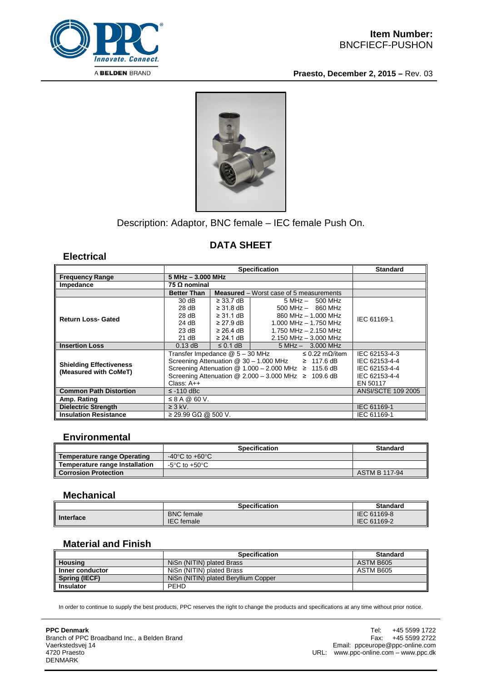

**Praesto, December 2, 2015 –** Rev. 03



## Description: Adaptor, BNC female – IEC female Push On.

# **DATA SHEET**

**Electrical**

|                                                         | <b>Specification</b>                                                     |                |                                                | <b>Standard</b>           |
|---------------------------------------------------------|--------------------------------------------------------------------------|----------------|------------------------------------------------|---------------------------|
| <b>Frequency Range</b>                                  | 5 MHz - 3.000 MHz                                                        |                |                                                |                           |
| Impedance                                               | 75 Ω nominal                                                             |                |                                                |                           |
|                                                         | <b>Better Than</b>                                                       |                | <b>Measured</b> – Worst case of 5 measurements |                           |
| <b>Return Loss- Gated</b>                               | 30dB                                                                     | $\geq$ 33.7 dB | $5 MHz - 500 MHz$                              | IEC 61169-1               |
|                                                         | 28 dB                                                                    | $\geq$ 31.8 dB | $500$ MHz $-$ 860 MHz                          |                           |
|                                                         | 28 dB                                                                    | $\geq$ 31.1 dB | 860 MHz - 1.000 MHz                            |                           |
|                                                         | 24 dB                                                                    | $\geq$ 27.9 dB | $1.000$ MHz $- 1.750$ MHz                      |                           |
|                                                         | 23 dB                                                                    | $\geq$ 26.4 dB | 1.750 MHz - 2.150 MHz                          |                           |
|                                                         | 21 dB                                                                    | $\geq$ 24.1 dB | $2.150$ MHz $- 3.000$ MHz                      |                           |
| <b>Insertion Loss</b>                                   | $0.13$ dB                                                                | $\leq$ 0.1 dB  | $5 MHz - 3.000 MHz$                            |                           |
| <b>Shielding Effectiveness</b><br>(Measured with CoMeT) | Transfer Impedance @ 5 - 30 MHz<br>$\leq$ 0.22 m $\Omega$ /item          |                |                                                | IEC 62153-4-3             |
|                                                         | Screening Attenuation $@$ 30 - 1.000 MHz $\geq$ 117.6 dB                 | IEC 62153-4-4  |                                                |                           |
|                                                         | Screening Attenuation $@ 1.000 - 2.000 \text{ MHz} \ge 115.6 \text{ dB}$ | IEC 62153-4-4  |                                                |                           |
|                                                         | Screening Attenuation $@ 2.000 - 3.000$ MHz $\geq 109.6$ dB              |                |                                                | IEC 62153-4-4             |
|                                                         | Class: $A++$                                                             |                |                                                | EN 50117                  |
| <b>Common Path Distortion</b>                           | $\le$ -110 dBc                                                           |                |                                                | <b>ANSI/SCTE 109 2005</b> |
| Amp. Rating                                             | $\leq$ 8 A @ 60 V.                                                       |                |                                                |                           |
| <b>Dielectric Strength</b>                              | $\geq$ 3 kV.                                                             |                |                                                | IEC 61169-1               |
| <b>Insulation Resistance</b>                            | $\geq$ 29.99 GΩ @ 500 V.                                                 |                |                                                | IEC 61169-1               |

#### **Environmental**

|                                    | <b>Specification</b>                 | <b>Standard</b>      |
|------------------------------------|--------------------------------------|----------------------|
| <b>Temperature range Operating</b> | -40 $^{\circ}$ C to +60 $^{\circ}$ C |                      |
| Temperature range Installation     | -5°C to +50°C                        |                      |
| <b>Corrosion Protection</b>        |                                      | <b>ASTM B 117-94</b> |

### **Mechanical**

|           | <b>Specification</b> | <b>Standard</b> |
|-----------|----------------------|-----------------|
| Interface | <b>BNC</b> female    | IEC 61169-8     |
|           | <b>IEC</b> female    | IEC 61169-2     |

### **Material and Finish**

|                  | <b>Specification</b>                 | <b>Standard</b> |
|------------------|--------------------------------------|-----------------|
| <b>Housing</b>   | NiSn (NITIN) plated Brass            | ASTM B605       |
| Inner conductor  | NiSn (NITIN) plated Brass            | ASTM B605       |
| Spring (IECF)    | NiSn (NITIN) plated Beryllium Copper |                 |
| <b>Insulator</b> | <b>PEHD</b>                          |                 |

In order to continue to supply the best products, PPC reserves the right to change the products and specifications at any time without prior notice.